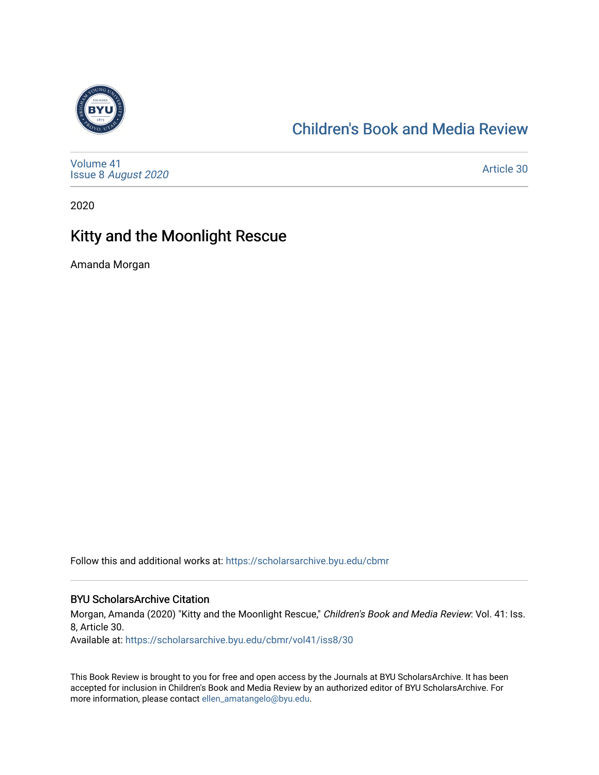

#### [Children's Book and Media Review](https://scholarsarchive.byu.edu/cbmr)

[Volume 41](https://scholarsarchive.byu.edu/cbmr/vol41) Issue 8 [August 2020](https://scholarsarchive.byu.edu/cbmr/vol41/iss8) 

[Article 30](https://scholarsarchive.byu.edu/cbmr/vol41/iss8/30) 

2020

#### Kitty and the Moonlight Rescue

Amanda Morgan

Follow this and additional works at: [https://scholarsarchive.byu.edu/cbmr](https://scholarsarchive.byu.edu/cbmr?utm_source=scholarsarchive.byu.edu%2Fcbmr%2Fvol41%2Fiss8%2F30&utm_medium=PDF&utm_campaign=PDFCoverPages) 

#### BYU ScholarsArchive Citation

Morgan, Amanda (2020) "Kitty and the Moonlight Rescue," Children's Book and Media Review: Vol. 41: Iss. 8, Article 30.

Available at: [https://scholarsarchive.byu.edu/cbmr/vol41/iss8/30](https://scholarsarchive.byu.edu/cbmr/vol41/iss8/30?utm_source=scholarsarchive.byu.edu%2Fcbmr%2Fvol41%2Fiss8%2F30&utm_medium=PDF&utm_campaign=PDFCoverPages)

This Book Review is brought to you for free and open access by the Journals at BYU ScholarsArchive. It has been accepted for inclusion in Children's Book and Media Review by an authorized editor of BYU ScholarsArchive. For more information, please contact [ellen\\_amatangelo@byu.edu.](mailto:ellen_amatangelo@byu.edu)